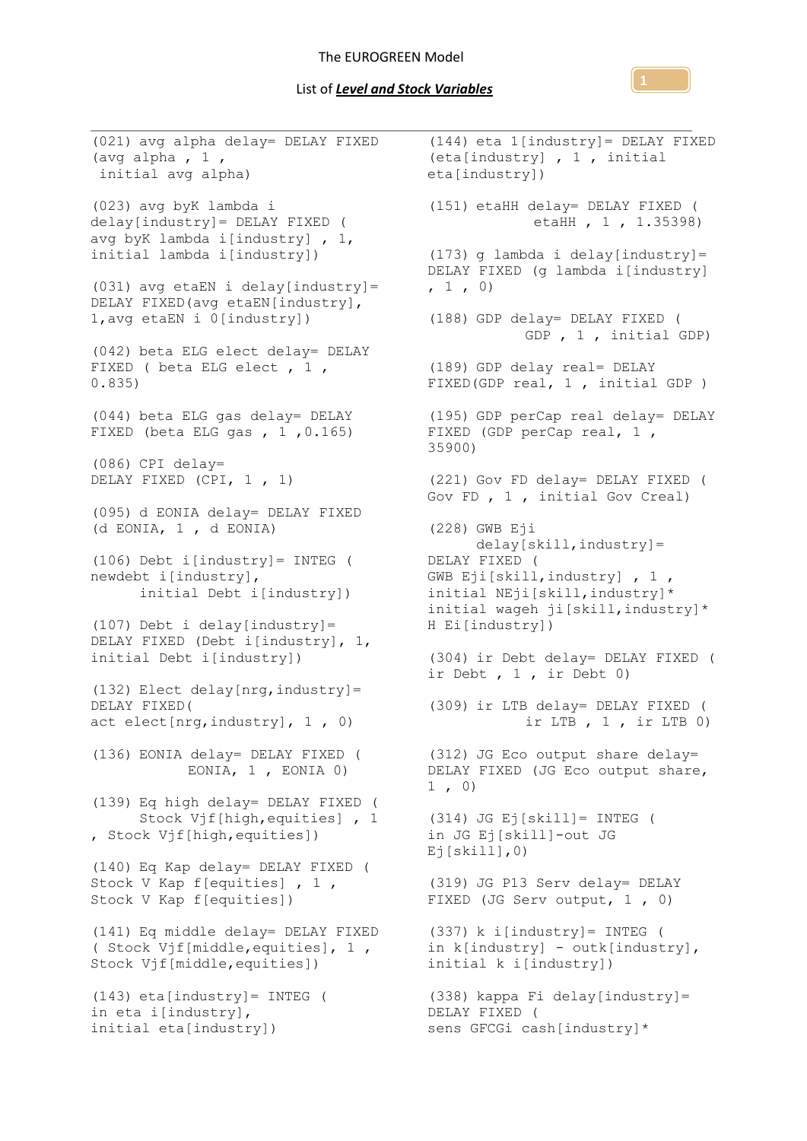## List of *Level and Stock Variables*



(021) avg alpha delay= DELAY FIXED (144) eta 1[industry]= DELAY FIXED (avg alpha,  $1$ , initial avg alpha) (023) avg byK lambda i delay[industry]= DELAY FIXED ( avg byK lambda i[industry] , 1, initial lambda i[industry]) (031) avg etaEN i delay[industry]= DELAY FIXED(avg etaEN[industry], 1,avg etaEN i 0[industry]) (042) beta ELG elect delay= DELAY FIXED ( beta ELG elect , 1 , 0.835) (044) beta ELG gas delay= DELAY FIXED (beta ELG gas , 1 ,0.165) (086) CPI delay= DELAY FIXED (CPI, 1 , 1) (095) d EONIA delay= DELAY FIXED (d EONIA, 1 , d EONIA) (106) Debt i[industry]= INTEG ( newdebt i[industry], initial Debt i[industry]) (107) Debt i delay[industry]= DELAY FIXED (Debt i[industry], 1, initial Debt i[industry]) (132) Elect delay[nrg,industry]= DELAY FIXED( act elect[nrg,industry], 1 , 0) (136) EONIA delay= DELAY FIXED ( EONIA, 1 , EONIA 0) (139) Eq high delay= DELAY FIXED ( Stock Vjf[high,equities] , 1 , Stock Vjf[high,equities]) (140) Eq Kap delay= DELAY FIXED ( Stock V Kap f[equities] , 1 , Stock V Kap f[equities]) (141) Eq middle delay= DELAY FIXED ( Stock Vjf[middle,equities], 1 , Stock Vjf[middle,equities]) (143) eta[industry]= INTEG ( in eta i[industry], initial eta[industry]) (eta[industry] , 1 , initial eta[industry]) (151) etaHH delay= DELAY FIXED ( etaHH , 1 , 1.35398) (173) g lambda i delay[industry]= DELAY FIXED (g lambda i[industry]  $, 1, 0)$ (188) GDP delay= DELAY FIXED ( GDP , 1 , initial GDP) (189) GDP delay real= DELAY FIXED(GDP real, 1 , initial GDP ) (195) GDP perCap real delay= DELAY (195) GDP perCap real delay=<br>FIXED (GDP perCap real, 1 , 35900) (221) Gov FD delay= DELAY FIXED ( Gov FD , 1 , initial Gov Creal) (228) GWB Eji delay[skill,industry]= DELAY FIXED ( GWB Eji[skill,industry] , 1 , initial NEji[skill,industry]\* initial wageh ji[skill,industry]\* H Ei[industry]) (304) ir Debt delay= DELAY FIXED ( ir Debt , 1 , ir Debt 0) (309) ir LTB delay= DELAY FIXED (  $ir$  LTB,  $1$ ,  $ir$  LTB  $0$ ) (312) JG Eco output share delay= DELAY FIXED (JG Eco output share,  $1, 0)$ (314) JG Ej[skill]= INTEG ( in JG Ej[skill]-out JG  $Ej[skill],0)$ (319) JG P13 Serv delay= DELAY FIXED (JG Serv output, 1 , 0) (337) k i[industry]= INTEG ( in k[industry] - outk[industry], initial k i[industry]) (338) kappa Fi delay[industry]= DELAY FIXED ( sens GFCGi cash[industry]\*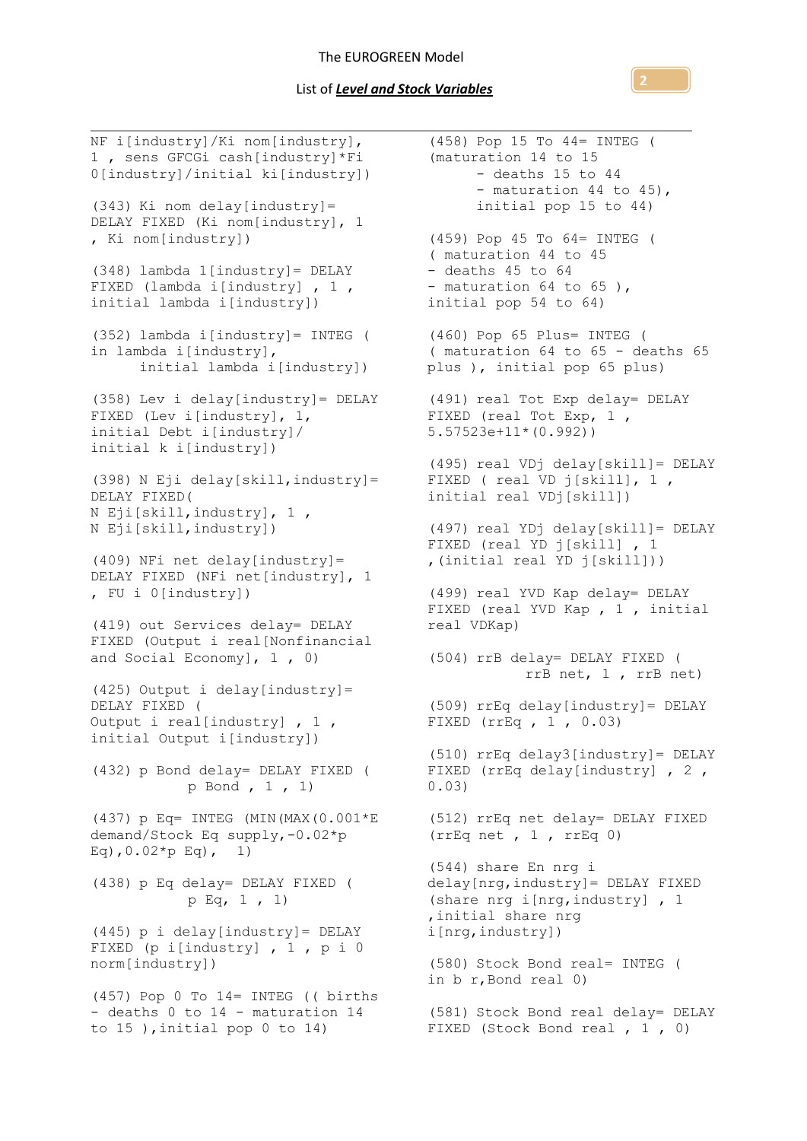NF i[industry]/Ki nom[industry], 1 , sens GFCGi cash[industry]\*Fi 0[industry]/initial ki[industry]) (343) Ki nom delay[industry]= DELAY FIXED (Ki nom[industry], 1 , Ki nom[industry]) (348) lambda 1[industry]= DELAY FIXED (lambda i[industry] , 1 , initial lambda i[industry]) (352) lambda i[industry]= INTEG ( in lambda i[industry], initial lambda i[industry]) (358) Lev i delay[industry]= DELAY FIXED (Lev i[industry],  $1$ , initial Debt i[industry]/ initial k i[industry]) (398) N Eji delay[skill,industry]= DELAY FIXED( N Eji[skill,industry], 1 , N Eji[skill,industry]) (409) NFi net delay[industry]= DELAY FIXED (NFi net[industry], 1 , FU i 0[industry]) (419) out Services delay= DELAY FIXED (Output i real[Nonfinancial and Social Economy], 1 , 0) (425) Output i delay[industry]= DELAY FIXED ( Output i real[industry] , 1 , initial Output i[industry]) (432) p Bond delay= DELAY FIXED ( p Bond , 1 , 1) (437) p Eq= INTEG (MIN(MAX(0.001\*E demand/Stock Eq supply,-0.02\*p Eq),  $0.02*p$  Eq), 1) (438) p Eq delay= DELAY FIXED ( p Eq, 1 , 1) (445) p i delay[industry]= DELAY FIXED (p i[industry] , 1 , p i 0 norm[industry]) (457) Pop 0 To 14= INTEG (( births - deaths 0 to 14 - maturation 14 to 15 ),initial pop 0 to 14) (458) Pop 15 To 44= INTEG ( (maturation 14 to 15 - deaths 15 to 44 - maturation 44 to 45), initial pop 15 to 44) (459) Pop 45 To 64= INTEG ( ( maturation 44 to 45 - deaths 45 to 64 - maturation 64 to 65), initial pop 54 to 64) (460) Pop 65 Plus= INTEG ( ( maturation 64 to 65 - deaths 65 plus ), initial pop 65 plus) (491) real Tot Exp delay= DELAY FIXED (real Tot Exp, 1, 5.57523e+11\*(0.992)) (495) real VDj delay[skill]= DELAY FIXED ( real VD j[skill], 1 , initial real VDj[skill]) (497) real YDj delay[skill]= DELAY FIXED (real YD j[skill] , 1 ,(initial real YD j[skill])) (499) real YVD Kap delay= DELAY FIXED (real YVD Kap , 1 , initial real VDKap) (504) rrB delay= DELAY FIXED ( rrB net, 1 , rrB net) (509) rrEq delay[industry]= DELAY FIXED (rrEq , 1 , 0.03) (510) rrEq delay3[industry]= DELAY FIXED (rrEq delay[industry] , 2 , 0.03) (512) rrEq net delay= DELAY FIXED (rrEq net , 1 , rrEq 0) (544) share En nrg i delay[nrg,industry]= DELAY FIXED (share nrg i[nrg,industry] , 1 ,initial share nrg i[nrg,industry]) (580) Stock Bond real= INTEG ( in b r,Bond real 0) (581) Stock Bond real delay= DELAY FIXED (Stock Bond real , 1 , 0)